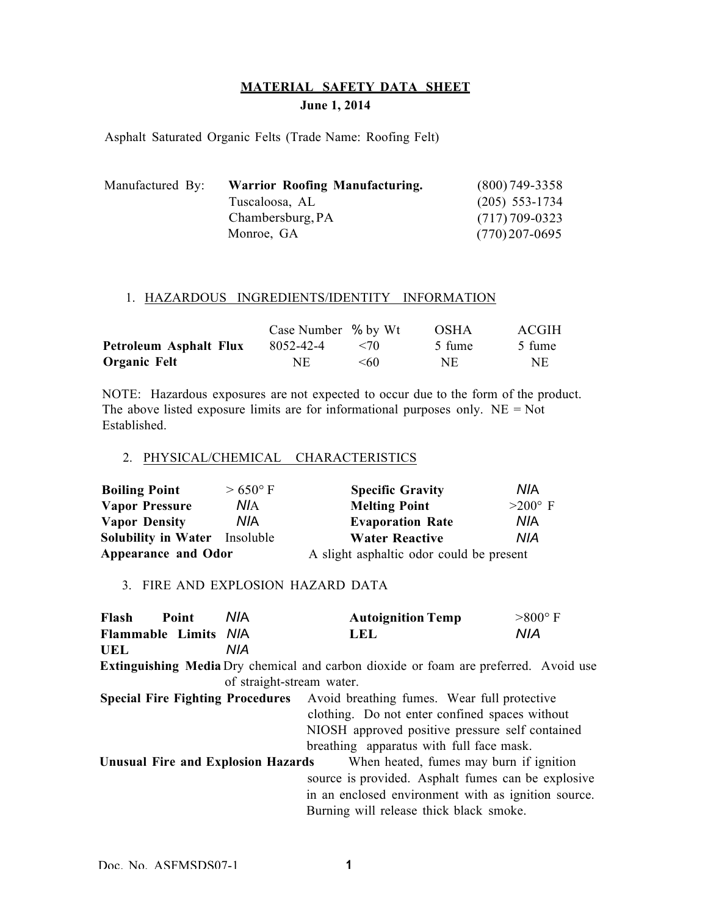# **MATERIAL SAFETY DATA SHEET June 1, 2014**

Asphalt Saturated Organic Felts (Trade Name: Roofing Felt)

| Manufactured By: | Warrior Roofing Manufacturing. | $(800)$ 749-3358 |
|------------------|--------------------------------|------------------|
|                  | Tuscaloosa, AL                 | $(205)$ 553-1734 |
|                  | Chambersburg, PA               | $(717)$ 709-0323 |
|                  | Monroe, GA                     | $(770)$ 207-0695 |

#### 1. HAZARDOUS INGREDIENTS/IDENTITY INFORMATION

|                        | Case Number % by Wt |              | <b>OSHA</b> | ACGIH  |
|------------------------|---------------------|--------------|-------------|--------|
| Petroleum Asphalt Flux | 8052-42-4           | $\langle 70$ | 5 fume      | 5 fume |
| Organic Felt           | NE.                 | $<$ 60       | NE          | NE.    |

NOTE: Hazardous exposures are not expected to occur due to the form of the product. The above listed exposure limits are for informational purposes only.  $NE = Not$ Established.

### 2. PHYSICAL/CHEMICAL CHARACTERISTICS

| <b>Boiling Point</b>          | $>650^{\circ}$ F | <b>Specific Gravity</b>                  | NIA            |
|-------------------------------|------------------|------------------------------------------|----------------|
| Vapor Pressure                | ΝIΑ              | <b>Melting Point</b>                     | $>200^\circ$ F |
| <b>Vapor Density</b>          | <b>NIA</b>       | <b>Evaporation Rate</b>                  | <b>NIA</b>     |
| Solubility in Water Insoluble |                  | <b>Water Reactive</b>                    | NIA            |
| <b>Appearance and Odor</b>    |                  | A slight asphaltic odor could be present |                |

## 3. FIRE AND EXPLOSION HAZARD DATA

| Flash<br>Point                                                                              | <b>NIA</b>                | <b>Autoignition Temp</b>                            | $>800^{\circ}$ F |  |
|---------------------------------------------------------------------------------------------|---------------------------|-----------------------------------------------------|------------------|--|
| Flammable Limits N/A                                                                        |                           | <b>LEL</b>                                          | <b>NIA</b>       |  |
| UEL                                                                                         | NIA                       |                                                     |                  |  |
| <b>Extinguishing Media</b> Dry chemical and carbon dioxide or foam are preferred. Avoid use |                           |                                                     |                  |  |
|                                                                                             | of straight-stream water. |                                                     |                  |  |
| <b>Special Fire Fighting Procedures</b> Avoid breathing fumes. Wear full protective         |                           |                                                     |                  |  |
|                                                                                             |                           | clothing. Do not enter confined spaces without      |                  |  |
|                                                                                             |                           | NIOSH approved positive pressure self contained     |                  |  |
|                                                                                             |                           | breathing apparatus with full face mask.            |                  |  |
| <b>Unusual Fire and Explosion Hazards</b><br>When heated, fumes may burn if ignition        |                           |                                                     |                  |  |
|                                                                                             |                           | source is provided. Asphalt fumes can be explosive  |                  |  |
|                                                                                             |                           | in an enclosed environment with as ignition source. |                  |  |
|                                                                                             |                           | Burning will release thick black smoke.             |                  |  |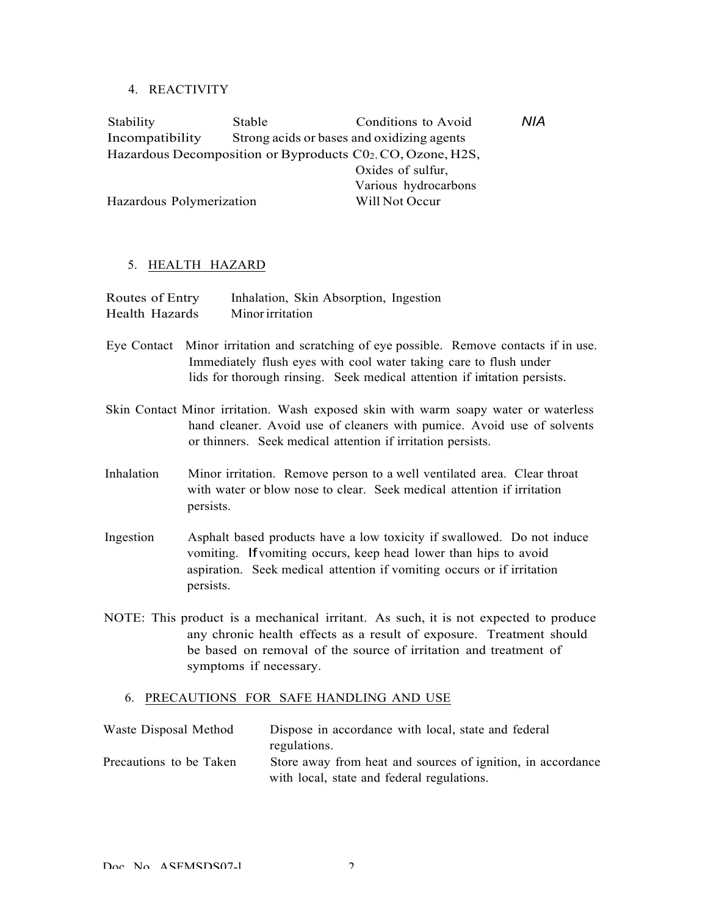### 4. REACTIVITY

| Stability                                                  | Stable                                     | Conditions to Avoid  | NIA |  |
|------------------------------------------------------------|--------------------------------------------|----------------------|-----|--|
| Incompatibility                                            | Strong acids or bases and oxidizing agents |                      |     |  |
| Hazardous Decomposition or Byproducts C02, CO, Ozone, H2S, |                                            |                      |     |  |
|                                                            |                                            | Oxides of sulfur,    |     |  |
|                                                            |                                            | Various hydrocarbons |     |  |
| Hazardous Polymerization                                   |                                            | Will Not Occur       |     |  |

#### 5. HEALTH HAZARD

| Routes of Entry | Inhalation, Skin Absorption, Ingestion |
|-----------------|----------------------------------------|
| Health Hazards  | Minor irritation                       |

- Eye Contact Minor irritation and scratching of eye possible. Remove contacts if in use. Immediately flush eyes with cool water taking care to flush under lids for thorough rinsing. Seek medical attention if imitation persists.
- Skin Contact Minor irritation. Wash exposed skin with warm soapy water or waterless hand cleaner. Avoid use of cleaners with pumice. Avoid use of solvents or thinners. Seek medical attention if irritation persists.
- Inhalation Minor irritation. Remove person to a well ventilated area. Clear throat with water or blow nose to clear. Seek medical attention if irritation persists.
- Ingestion Asphalt based products have a low toxicity if swallowed. Do not induce vomiting. Ifvomiting occurs, keep head lower than hips to avoid aspiration. Seek medical attention if vomiting occurs or if irritation persists.
- NOTE: This product is a mechanical irritant. As such, it is not expected to produce any chronic health effects as a result of exposure. Treatment should be based on removal of the source of irritation and treatment of symptoms if necessary.

#### 6. PRECAUTIONS FOR SAFE HANDLING AND USE

| Waste Disposal Method   | Dispose in accordance with local, state and federal         |
|-------------------------|-------------------------------------------------------------|
|                         | regulations.                                                |
| Precautions to be Taken | Store away from heat and sources of ignition, in accordance |
|                         | with local, state and federal regulations.                  |